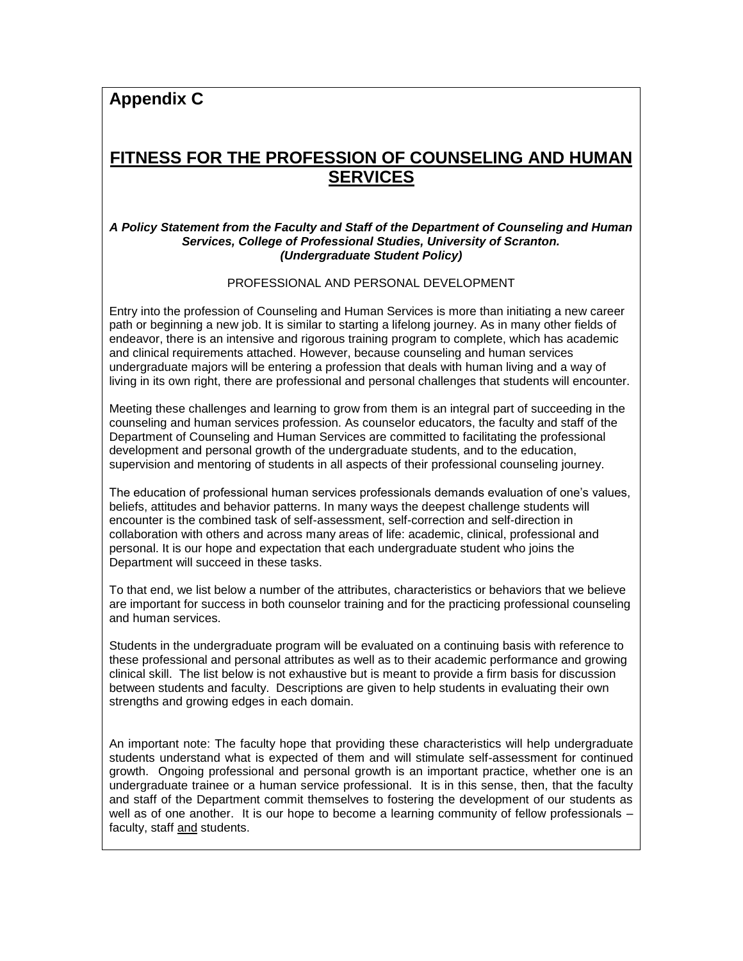**Appendix C**

# **FITNESS FOR THE PROFESSION OF COUNSELING AND HUMAN SERVICES**

#### *A Policy Statement from the Faculty and Staff of the Department of Counseling and Human Services, College of Professional Studies, University of Scranton. (Undergraduate Student Policy)*

PROFESSIONAL AND PERSONAL DEVELOPMENT

Entry into the profession of Counseling and Human Services is more than initiating a new career path or beginning a new job. It is similar to starting a lifelong journey. As in many other fields of endeavor, there is an intensive and rigorous training program to complete, which has academic and clinical requirements attached. However, because counseling and human services undergraduate majors will be entering a profession that deals with human living and a way of living in its own right, there are professional and personal challenges that students will encounter.

Meeting these challenges and learning to grow from them is an integral part of succeeding in the counseling and human services profession. As counselor educators, the faculty and staff of the Department of Counseling and Human Services are committed to facilitating the professional development and personal growth of the undergraduate students, and to the education, supervision and mentoring of students in all aspects of their professional counseling journey.

The education of professional human services professionals demands evaluation of one's values, beliefs, attitudes and behavior patterns. In many ways the deepest challenge students will encounter is the combined task of self-assessment, self-correction and self-direction in collaboration with others and across many areas of life: academic, clinical, professional and personal. It is our hope and expectation that each undergraduate student who joins the Department will succeed in these tasks.

To that end, we list below a number of the attributes, characteristics or behaviors that we believe are important for success in both counselor training and for the practicing professional counseling and human services.

Students in the undergraduate program will be evaluated on a continuing basis with reference to these professional and personal attributes as well as to their academic performance and growing clinical skill. The list below is not exhaustive but is meant to provide a firm basis for discussion between students and faculty. Descriptions are given to help students in evaluating their own strengths and growing edges in each domain.

An important note: The faculty hope that providing these characteristics will help undergraduate students understand what is expected of them and will stimulate self-assessment for continued growth. Ongoing professional and personal growth is an important practice, whether one is an undergraduate trainee or a human service professional. It is in this sense, then, that the faculty and staff of the Department commit themselves to fostering the development of our students as well as of one another. It is our hope to become a learning community of fellow professionals – faculty, staff and students.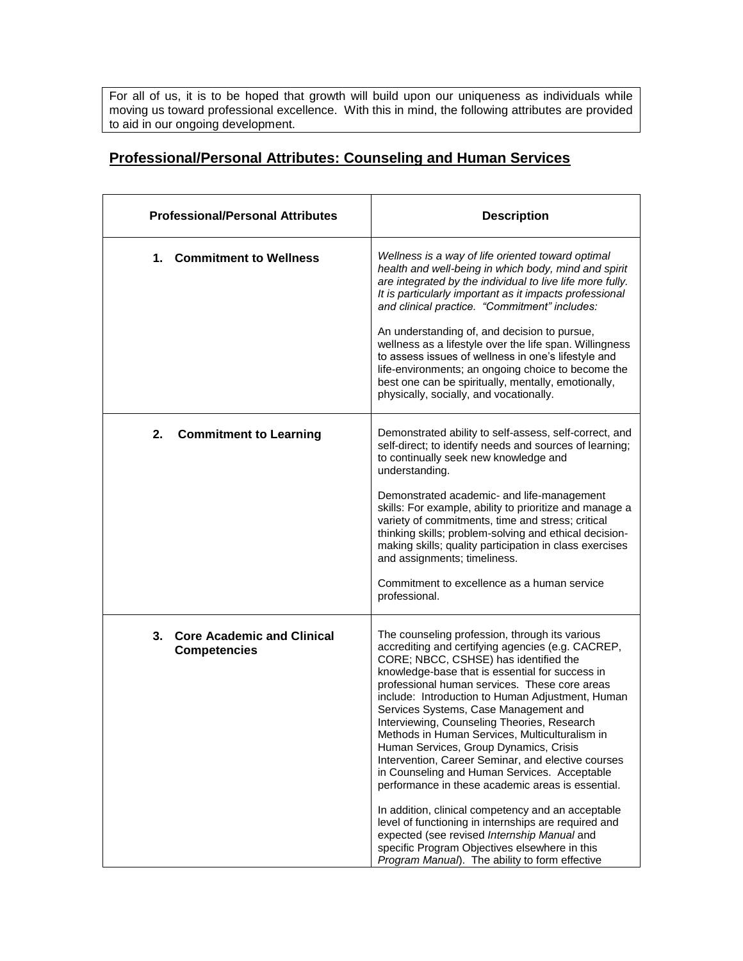For all of us, it is to be hoped that growth will build upon our uniqueness as individuals while moving us toward professional excellence. With this in mind, the following attributes are provided to aid in our ongoing development.

### **Professional/Personal Attributes: Counseling and Human Services**

| <b>Professional/Personal Attributes</b>                        | <b>Description</b>                                                                                                                                                                                                                                                                                                                                                                                                                                                                                                                                                                                                                                                                                                                                                                                                                                                                                                  |
|----------------------------------------------------------------|---------------------------------------------------------------------------------------------------------------------------------------------------------------------------------------------------------------------------------------------------------------------------------------------------------------------------------------------------------------------------------------------------------------------------------------------------------------------------------------------------------------------------------------------------------------------------------------------------------------------------------------------------------------------------------------------------------------------------------------------------------------------------------------------------------------------------------------------------------------------------------------------------------------------|
| 1. Commitment to Wellness                                      | Wellness is a way of life oriented toward optimal<br>health and well-being in which body, mind and spirit<br>are integrated by the individual to live life more fully.<br>It is particularly important as it impacts professional<br>and clinical practice. "Commitment" includes:<br>An understanding of, and decision to pursue,<br>wellness as a lifestyle over the life span. Willingness<br>to assess issues of wellness in one's lifestyle and<br>life-environments; an ongoing choice to become the<br>best one can be spiritually, mentally, emotionally,<br>physically, socially, and vocationally.                                                                                                                                                                                                                                                                                                        |
| <b>Commitment to Learning</b><br>2.                            | Demonstrated ability to self-assess, self-correct, and<br>self-direct; to identify needs and sources of learning;<br>to continually seek new knowledge and<br>understanding.<br>Demonstrated academic- and life-management<br>skills: For example, ability to prioritize and manage a<br>variety of commitments, time and stress; critical<br>thinking skills; problem-solving and ethical decision-<br>making skills; quality participation in class exercises<br>and assignments; timeliness.<br>Commitment to excellence as a human service<br>professional.                                                                                                                                                                                                                                                                                                                                                     |
| <b>Core Academic and Clinical</b><br>3.<br><b>Competencies</b> | The counseling profession, through its various<br>accrediting and certifying agencies (e.g. CACREP,<br>CORE; NBCC, CSHSE) has identified the<br>knowledge-base that is essential for success in<br>professional human services. These core areas<br>include: Introduction to Human Adjustment, Human<br>Services Systems, Case Management and<br>Interviewing, Counseling Theories, Research<br>Methods in Human Services, Multiculturalism in<br>Human Services, Group Dynamics, Crisis<br>Intervention, Career Seminar, and elective courses<br>in Counseling and Human Services. Acceptable<br>performance in these academic areas is essential.<br>In addition, clinical competency and an acceptable<br>level of functioning in internships are required and<br>expected (see revised Internship Manual and<br>specific Program Objectives elsewhere in this<br>Program Manual). The ability to form effective |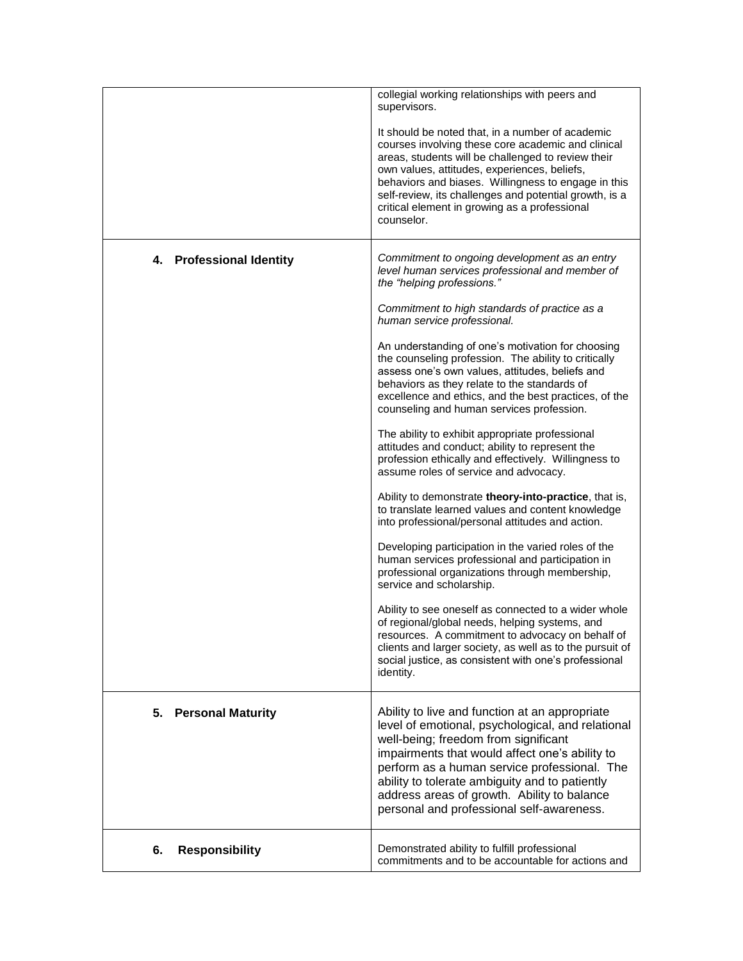|                                | collegial working relationships with peers and<br>supervisors.<br>It should be noted that, in a number of academic<br>courses involving these core academic and clinical<br>areas, students will be challenged to review their<br>own values, attitudes, experiences, beliefs,<br>behaviors and biases. Willingness to engage in this<br>self-review, its challenges and potential growth, is a<br>critical element in growing as a professional<br>counselor.                                                                                                                                                                                                                                                                                                                                                                                                                                                                                                                                                                                                                                                                                                                                                                                                                                                                   |
|--------------------------------|----------------------------------------------------------------------------------------------------------------------------------------------------------------------------------------------------------------------------------------------------------------------------------------------------------------------------------------------------------------------------------------------------------------------------------------------------------------------------------------------------------------------------------------------------------------------------------------------------------------------------------------------------------------------------------------------------------------------------------------------------------------------------------------------------------------------------------------------------------------------------------------------------------------------------------------------------------------------------------------------------------------------------------------------------------------------------------------------------------------------------------------------------------------------------------------------------------------------------------------------------------------------------------------------------------------------------------|
| 4. Professional Identity       | Commitment to ongoing development as an entry<br>level human services professional and member of<br>the "helping professions."<br>Commitment to high standards of practice as a<br>human service professional.<br>An understanding of one's motivation for choosing<br>the counseling profession. The ability to critically<br>assess one's own values, attitudes, beliefs and<br>behaviors as they relate to the standards of<br>excellence and ethics, and the best practices, of the<br>counseling and human services profession.<br>The ability to exhibit appropriate professional<br>attitudes and conduct; ability to represent the<br>profession ethically and effectively. Willingness to<br>assume roles of service and advocacy.<br>Ability to demonstrate theory-into-practice, that is,<br>to translate learned values and content knowledge<br>into professional/personal attitudes and action.<br>Developing participation in the varied roles of the<br>human services professional and participation in<br>professional organizations through membership,<br>service and scholarship.<br>Ability to see oneself as connected to a wider whole<br>of regional/global needs, helping systems, and<br>resources. A commitment to advocacy on behalf of<br>clients and larger society, as well as to the pursuit of |
| <b>Personal Maturity</b><br>5. | social justice, as consistent with one's professional<br>identity.<br>Ability to live and function at an appropriate<br>level of emotional, psychological, and relational<br>well-being; freedom from significant<br>impairments that would affect one's ability to<br>perform as a human service professional. The<br>ability to tolerate ambiguity and to patiently<br>address areas of growth. Ability to balance<br>personal and professional self-awareness.                                                                                                                                                                                                                                                                                                                                                                                                                                                                                                                                                                                                                                                                                                                                                                                                                                                                |
| <b>Responsibility</b><br>6.    | Demonstrated ability to fulfill professional<br>commitments and to be accountable for actions and                                                                                                                                                                                                                                                                                                                                                                                                                                                                                                                                                                                                                                                                                                                                                                                                                                                                                                                                                                                                                                                                                                                                                                                                                                |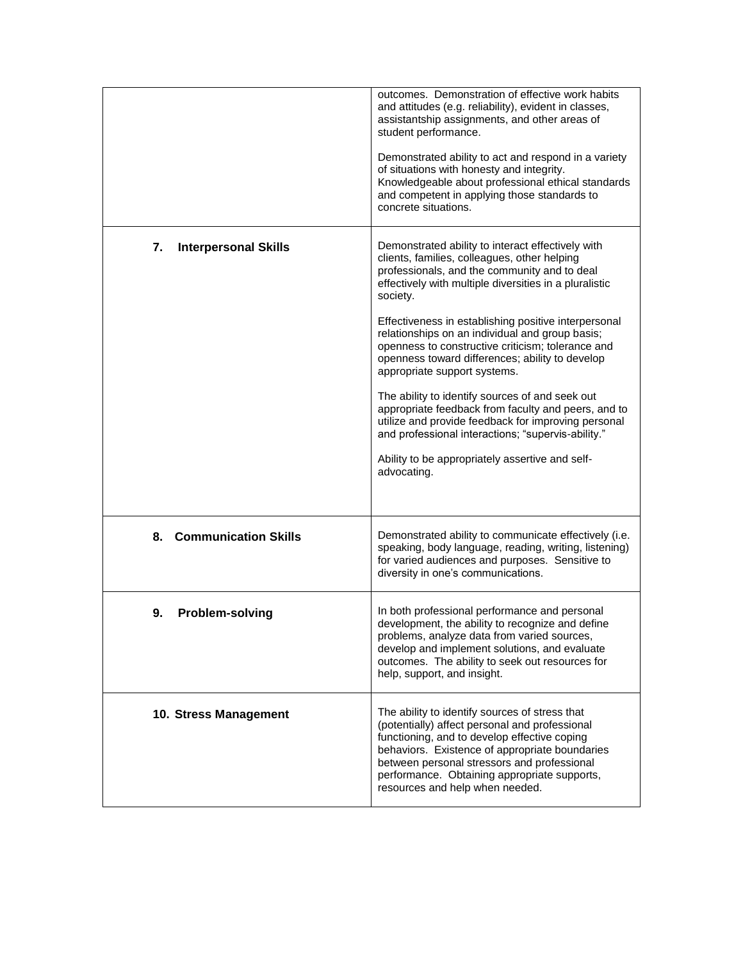|                                   | outcomes. Demonstration of effective work habits<br>and attitudes (e.g. reliability), evident in classes,<br>assistantship assignments, and other areas of<br>student performance.<br>Demonstrated ability to act and respond in a variety<br>of situations with honesty and integrity.<br>Knowledgeable about professional ethical standards<br>and competent in applying those standards to<br>concrete situations.                                                                                                                                                                                                                                                                                                                                               |
|-----------------------------------|---------------------------------------------------------------------------------------------------------------------------------------------------------------------------------------------------------------------------------------------------------------------------------------------------------------------------------------------------------------------------------------------------------------------------------------------------------------------------------------------------------------------------------------------------------------------------------------------------------------------------------------------------------------------------------------------------------------------------------------------------------------------|
| 7.<br><b>Interpersonal Skills</b> | Demonstrated ability to interact effectively with<br>clients, families, colleagues, other helping<br>professionals, and the community and to deal<br>effectively with multiple diversities in a pluralistic<br>society.<br>Effectiveness in establishing positive interpersonal<br>relationships on an individual and group basis;<br>openness to constructive criticism; tolerance and<br>openness toward differences; ability to develop<br>appropriate support systems.<br>The ability to identify sources of and seek out<br>appropriate feedback from faculty and peers, and to<br>utilize and provide feedback for improving personal<br>and professional interactions; "supervis-ability."<br>Ability to be appropriately assertive and self-<br>advocating. |
| 8. Communication Skills           | Demonstrated ability to communicate effectively (i.e.<br>speaking, body language, reading, writing, listening)<br>for varied audiences and purposes. Sensitive to<br>diversity in one's communications.                                                                                                                                                                                                                                                                                                                                                                                                                                                                                                                                                             |
| <b>Problem-solving</b><br>9.      | In both professional performance and personal<br>development, the ability to recognize and define<br>problems, analyze data from varied sources,<br>develop and implement solutions, and evaluate<br>outcomes. The ability to seek out resources for<br>help, support, and insight.                                                                                                                                                                                                                                                                                                                                                                                                                                                                                 |
| 10. Stress Management             | The ability to identify sources of stress that<br>(potentially) affect personal and professional<br>functioning, and to develop effective coping<br>behaviors. Existence of appropriate boundaries<br>between personal stressors and professional<br>performance. Obtaining appropriate supports,<br>resources and help when needed.                                                                                                                                                                                                                                                                                                                                                                                                                                |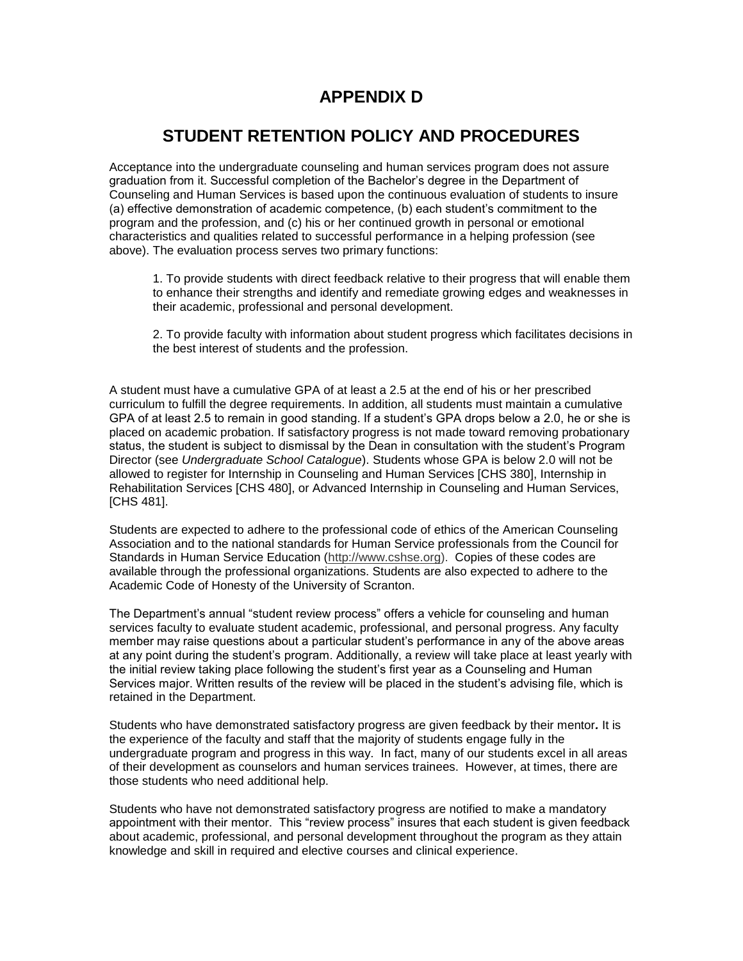### **APPENDIX D**

# **STUDENT RETENTION POLICY AND PROCEDURES**

Acceptance into the undergraduate counseling and human services program does not assure graduation from it. Successful completion of the Bachelor's degree in the Department of Counseling and Human Services is based upon the continuous evaluation of students to insure (a) effective demonstration of academic competence, (b) each student's commitment to the program and the profession, and (c) his or her continued growth in personal or emotional characteristics and qualities related to successful performance in a helping profession (see above). The evaluation process serves two primary functions:

1. To provide students with direct feedback relative to their progress that will enable them to enhance their strengths and identify and remediate growing edges and weaknesses in their academic, professional and personal development.

2. To provide faculty with information about student progress which facilitates decisions in the best interest of students and the profession.

A student must have a cumulative GPA of at least a 2.5 at the end of his or her prescribed curriculum to fulfill the degree requirements. In addition, all students must maintain a cumulative GPA of at least 2.5 to remain in good standing. If a student's GPA drops below a 2.0, he or she is placed on academic probation. If satisfactory progress is not made toward removing probationary status, the student is subject to dismissal by the Dean in consultation with the student's Program Director (see *Undergraduate School Catalogue*). Students whose GPA is below 2.0 will not be allowed to register for Internship in Counseling and Human Services [CHS 380], Internship in Rehabilitation Services [CHS 480], or Advanced Internship in Counseling and Human Services, [CHS 481].

Students are expected to adhere to the professional code of ethics of the American Counseling Association and to the national standards for Human Service professionals from the Council for Standards in Human Service Education [\(http://www.cshse.org\)](http://www.cshse.org/). Copies of these codes are available through the professional organizations. Students are also expected to adhere to the Academic Code of Honesty of the University of Scranton.

The Department's annual "student review process" offers a vehicle for counseling and human services faculty to evaluate student academic, professional, and personal progress. Any faculty member may raise questions about a particular student's performance in any of the above areas at any point during the student's program. Additionally, a review will take place at least yearly with the initial review taking place following the student's first year as a Counseling and Human Services major. Written results of the review will be placed in the student's advising file, which is retained in the Department.

Students who have demonstrated satisfactory progress are given feedback by their mentor*.* It is the experience of the faculty and staff that the majority of students engage fully in the undergraduate program and progress in this way. In fact, many of our students excel in all areas of their development as counselors and human services trainees. However, at times, there are those students who need additional help.

Students who have not demonstrated satisfactory progress are notified to make a mandatory appointment with their mentor. This "review process" insures that each student is given feedback about academic, professional, and personal development throughout the program as they attain knowledge and skill in required and elective courses and clinical experience.